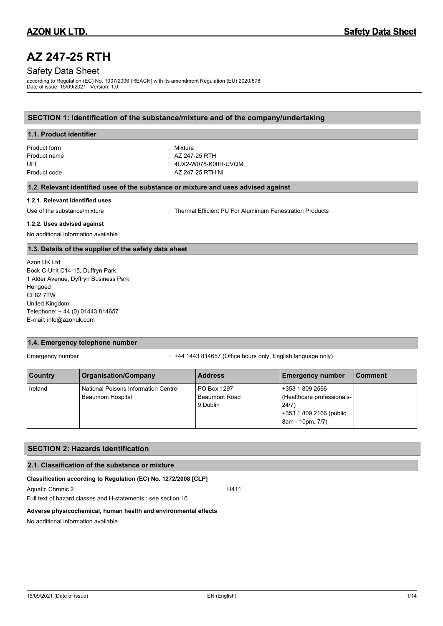# **AZ 247-25 RTH**

# Safety Data Sheet

according to Regulation (EC) No. 1907/2006 (REACH) with its amendment Regulation (EU) 2020/878 Date of issue: 15/09/2021 Version: 1.0

# **SECTION 1: Identification of the substance/mixture and of the company/undertaking**

| 1.1. Product identifier                                                            |                                                          |  |
|------------------------------------------------------------------------------------|----------------------------------------------------------|--|
| Product form                                                                       | : Mixture                                                |  |
| Product name                                                                       | $\therefore$ AZ 247-25 RTH                               |  |
| UFI                                                                                | : 4UX2-W078-K00H-UVQM                                    |  |
| Product code                                                                       | $\therefore$ AZ 247-25 RTH NI                            |  |
| 1.2. Relevant identified uses of the substance or mixture and uses advised against |                                                          |  |
| 1.2.1. Relevant identified uses                                                    |                                                          |  |
| Use of the substance/mixture                                                       | Thermal Efficient PU For Aluminium Fenestration Products |  |

### **1.2.2. Uses advised against**

No additional information available

### **1.3. Details of the supplier of the safety data sheet**

Azon UK Ltd Bock C-Unit C14-15, Duffryn Park 1 Alder Avenue, Dyffryn Business Park Hengoed CF82 7TW United Kingdom Telephone: + 44 (0) 01443 814657 E-mail: info@azonuk.com

# **1.4. Emergency telephone number**

Emergency number : +44 1443 814657 (Office hours only, English language only)

| <b>Country</b> | <b>Organisation/Company</b>                                     | <b>Address</b>                                  | <b>Emergency number</b>                                                                                | l Comment |
|----------------|-----------------------------------------------------------------|-------------------------------------------------|--------------------------------------------------------------------------------------------------------|-----------|
| Ireland        | National Poisons Information Centre<br><b>Beaumont Hospital</b> | PO Box 1297<br><b>Beaumont Road</b><br>9 Dublin | +353 1 809 2566<br>(Healthcare professionals-<br>24/7)<br>+353 1 809 2166 (public,<br>8am - 10pm, 7/7) |           |

### **SECTION 2: Hazards identification**

### **2.1. Classification of the substance or mixture**

### **Classification according to Regulation (EC) No. 1272/2008 [CLP]**

Aquatic Chronic 2 H411

Full text of hazard classes and H-statements : see section 16

### **Adverse physicochemical, human health and environmental effects**

No additional information available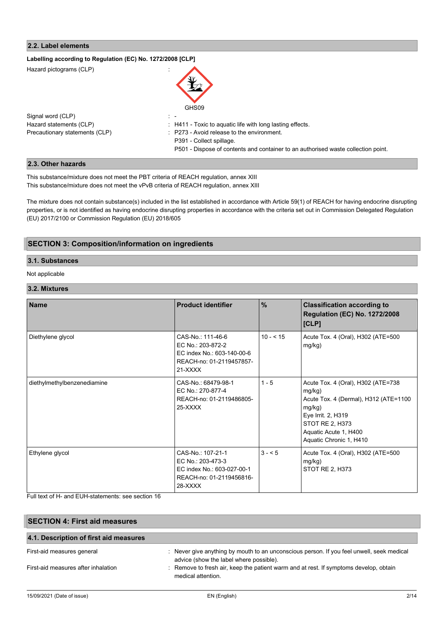# **2.2. Label elements**

| Labelling according to Regulation (EC) No. 1272/2008 [CLP] |                                                                                   |
|------------------------------------------------------------|-----------------------------------------------------------------------------------|
| Hazard pictograms (CLP)                                    | GHS09                                                                             |
|                                                            |                                                                                   |
| Signal word (CLP)                                          | $\mathbb{R}^n$                                                                    |
| Hazard statements (CLP)                                    | : H411 - Toxic to aquatic life with long lasting effects.                         |
| Precautionary statements (CLP)                             | : P273 - Avoid release to the environment.                                        |
|                                                            | P391 - Collect spillage.                                                          |
|                                                            | P501 - Dispose of contents and container to an authorised waste collection point. |

### **2.3. Other hazards**

This substance/mixture does not meet the PBT criteria of REACH regulation, annex XIII This substance/mixture does not meet the vPvB criteria of REACH regulation, annex XIII

The mixture does not contain substance(s) included in the list established in accordance with Article 59(1) of REACH for having endocrine disrupting properties, or is not identified as having endocrine disrupting properties in accordance with the criteria set out in Commission Delegated Regulation (EU) 2017/2100 or Commission Regulation (EU) 2018/605

# **SECTION 3: Composition/information on ingredients**

# **3.1. Substances**

Not applicable

# **3.2. Mixtures**

| <b>Name</b>                 | <b>Product identifier</b>                                                                                     | $\frac{9}{6}$ | <b>Classification according to</b><br><b>Regulation (EC) No. 1272/2008</b><br>[CLP]                                                                                                          |
|-----------------------------|---------------------------------------------------------------------------------------------------------------|---------------|----------------------------------------------------------------------------------------------------------------------------------------------------------------------------------------------|
| Diethylene glycol           | CAS-No.: 111-46-6<br>EC No.: 203-872-2<br>EC index No.: 603-140-00-6<br>REACH-no: 01-2119457857-<br>$21-XXXX$ | $10 - 515$    | Acute Tox. 4 (Oral), H302 (ATE=500<br>mg/kg)                                                                                                                                                 |
| diethylmethylbenzenediamine | CAS-No.: 68479-98-1<br>EC No.: 270-877-4<br>REACH-no: 01-2119486805-<br>25-XXXX                               | $1 - 5$       | Acute Tox. 4 (Oral), H302 (ATE=738<br>mg/kg)<br>Acute Tox. 4 (Dermal), H312 (ATE=1100<br>mg/kg)<br>Eye Irrit. 2, H319<br>STOT RE 2, H373<br>Aquatic Acute 1, H400<br>Aquatic Chronic 1, H410 |
| Ethylene glycol             | CAS-No.: 107-21-1<br>EC No.: 203-473-3<br>EC index No.: 603-027-00-1<br>REACH-no: 01-2119456816-<br>$28-XXXX$ | $3 - 5$       | Acute Tox. 4 (Oral), H302 (ATE=500<br>mg/kg)<br>STOT RE 2, H373                                                                                                                              |

Full text of H- and EUH-statements: see section 16

| <b>SECTION 4: First aid measures</b>   |                                                                                                                                      |  |
|----------------------------------------|--------------------------------------------------------------------------------------------------------------------------------------|--|
| 4.1. Description of first aid measures |                                                                                                                                      |  |
| First-aid measures general             | : Never give anything by mouth to an unconscious person. If you feel unwell, seek medical<br>advice (show the label where possible). |  |
| First-aid measures after inhalation    | : Remove to fresh air, keep the patient warm and at rest. If symptoms develop, obtain<br>medical attention.                          |  |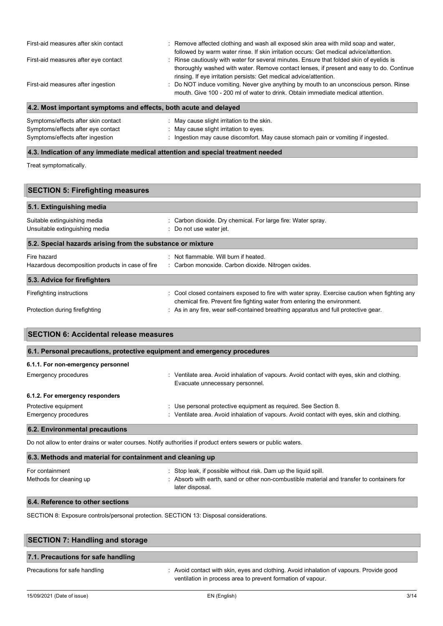| First-aid measures after skin contact | : Remove affected clothing and wash all exposed skin area with mild soap and water,<br>followed by warm water rinse. If skin irritation occurs: Get medical advice/attention.                                                                              |
|---------------------------------------|------------------------------------------------------------------------------------------------------------------------------------------------------------------------------------------------------------------------------------------------------------|
| First-aid measures after eye contact  | : Rinse cautiously with water for several minutes. Ensure that folded skin of eyelids is<br>thoroughly washed with water. Remove contact lenses, if present and easy to do. Continue<br>rinsing. If eye irritation persists: Get medical advice/attention. |
| First-aid measures after ingestion    | : Do NOT induce vomiting. Never give anything by mouth to an unconscious person. Rinse<br>mouth. Give 100 - 200 ml of water to drink. Obtain immediate medical attention.                                                                                  |

# **4.2. Most important symptoms and effects, both acute and delayed**

| Symptoms/effects after skin contact | : May cause slight irritation to the skin.                                        |
|-------------------------------------|-----------------------------------------------------------------------------------|
| Symptoms/effects after eye contact  | : May cause slight irritation to eves.                                            |
| Symptoms/effects after ingestion    | : Ingestion may cause discomfort. May cause stomach pain or vomiting if ingested. |

# **4.3. Indication of any immediate medical attention and special treatment needed**

Treat symptomatically.

| <b>SECTION 5: Firefighting measures</b>                        |                                                                                                                                                                            |  |  |
|----------------------------------------------------------------|----------------------------------------------------------------------------------------------------------------------------------------------------------------------------|--|--|
| 5.1. Extinguishing media                                       |                                                                                                                                                                            |  |  |
| Suitable extinguishing media<br>Unsuitable extinguishing media | : Carbon dioxide. Dry chemical. For large fire: Water spray.<br>: Do not use water jet.                                                                                    |  |  |
| 5.2. Special hazards arising from the substance or mixture     |                                                                                                                                                                            |  |  |
| Fire hazard                                                    | : Not flammable. Will burn if heated.                                                                                                                                      |  |  |
| Hazardous decomposition products in case of fire               | : Carbon monoxide. Carbon dioxide. Nitrogen oxides.                                                                                                                        |  |  |
| 5.3. Advice for firefighters                                   |                                                                                                                                                                            |  |  |
| Firefighting instructions                                      | : Cool closed containers exposed to fire with water spray. Exercise caution when fighting any<br>chemical fire. Prevent fire fighting water from entering the environment. |  |  |
| Protection during firefighting                                 | : As in any fire, wear self-contained breathing apparatus and full protective gear.                                                                                        |  |  |

| 6.1. Personal precautions, protective equipment and emergency procedures |                                                                                                                               |  |
|--------------------------------------------------------------------------|-------------------------------------------------------------------------------------------------------------------------------|--|
| 6.1.1. For non-emergency personnel                                       |                                                                                                                               |  |
| <b>Emergency procedures</b>                                              | : Ventilate area. Avoid inhalation of vapours. Avoid contact with eyes, skin and clothing.<br>Evacuate unnecessary personnel. |  |
| 6.1.2. For emergency responders                                          |                                                                                                                               |  |
| Protective equipment                                                     | : Use personal protective equipment as required. See Section 8.                                                               |  |
| <b>Emergency procedures</b>                                              | : Ventilate area. Avoid inhalation of vapours. Avoid contact with eyes, skin and clothing.                                    |  |

Do not allow to enter drains or water courses. Notify authorities if product enters sewers or public waters.

| 6.3. Methods and material for containment and cleaning up |                                                                                                                                                                                  |  |
|-----------------------------------------------------------|----------------------------------------------------------------------------------------------------------------------------------------------------------------------------------|--|
| For containment<br>Methods for cleaning up                | : Stop leak, if possible without risk. Dam up the liquid spill.<br>: Absorb with earth, sand or other non-combustible material and transfer to containers for<br>later disposal. |  |
| 6.4. Reference to other sections                          |                                                                                                                                                                                  |  |

SECTION 8: Exposure controls/personal protection. SECTION 13: Disposal considerations.

| <b>SECTION 7: Handling and storage</b> |                                                                                                                                                        |  |
|----------------------------------------|--------------------------------------------------------------------------------------------------------------------------------------------------------|--|
| 7.1. Precautions for safe handling     |                                                                                                                                                        |  |
| Precautions for safe handling          | : Avoid contact with skin, eyes and clothing. Avoid inhalation of vapours. Provide good<br>ventilation in process area to prevent formation of vapour. |  |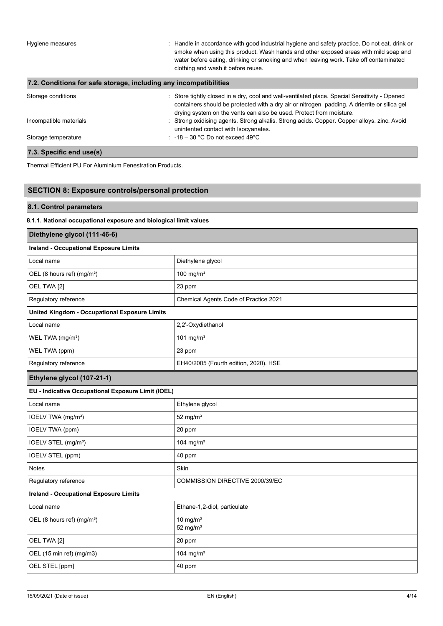Hygiene measures **induced in accordance with good industrial hygiene and safety practice.** Do not eat, drink or smoke when using this product. Wash hands and other exposed areas with mild soap and water before eating, drinking or smoking and when leaving work. Take off contaminated clothing and wash it before reuse.

# **7.2. Conditions for safe storage, including any incompatibilities**

| Storage conditions     | : Store tightly closed in a dry, cool and well-ventilated place. Special Sensitivity - Opened<br>containers should be protected with a dry air or nitrogen padding. A drierrite or silica gel<br>drying system on the vents can also be used. Protect from moisture. |
|------------------------|----------------------------------------------------------------------------------------------------------------------------------------------------------------------------------------------------------------------------------------------------------------------|
| Incompatible materials | : Strong oxidising agents. Strong alkalis. Strong acids. Copper. Copper alloys. zinc. Avoid<br>unintented contact with Isocyanates.                                                                                                                                  |
| Storage temperature    | $\therefore$ -18 – 30 °C Do not exceed 49°C                                                                                                                                                                                                                          |

# **7.3. Specific end use(s)**

Thermal Efficient PU For Aluminium Fenestration Products.

# **SECTION 8: Exposure controls/personal protection**

# **8.1. Control parameters**

### **8.1.1. National occupational exposure and biological limit values**

| Diethylene glycol (111-46-6)                         |                                       |  |
|------------------------------------------------------|---------------------------------------|--|
| <b>Ireland - Occupational Exposure Limits</b>        |                                       |  |
| Local name                                           | Diethylene glycol                     |  |
| OEL (8 hours ref) (mg/m <sup>3</sup> )               | 100 mg/ $m3$                          |  |
| OEL TWA [2]                                          | 23 ppm                                |  |
| Regulatory reference                                 | Chemical Agents Code of Practice 2021 |  |
| <b>United Kingdom - Occupational Exposure Limits</b> |                                       |  |
| Local name                                           | 2,2'-Oxydiethanol                     |  |
| WEL TWA (mg/m <sup>3</sup> )                         | 101 mg/m $3$                          |  |
| WEL TWA (ppm)                                        | 23 ppm                                |  |
| Regulatory reference                                 | EH40/2005 (Fourth edition, 2020). HSE |  |
| Ethylene glycol (107-21-1)                           |                                       |  |
| EU - Indicative Occupational Exposure Limit (IOEL)   |                                       |  |
| Local name                                           | Ethylene glycol                       |  |
| IOELV TWA (mg/m <sup>3</sup> )                       | 52 mg/ $m3$                           |  |
| <b>IOELV TWA (ppm)</b>                               | 20 ppm                                |  |
| IOELV STEL (mg/m <sup>3</sup> )                      | 104 mg/m $3$                          |  |
| IOELV STEL (ppm)                                     | 40 ppm                                |  |
| Notes                                                | Skin                                  |  |
| Regulatory reference                                 | COMMISSION DIRECTIVE 2000/39/EC       |  |
| <b>Ireland - Occupational Exposure Limits</b>        |                                       |  |
| Local name                                           | Ethane-1,2-diol, particulate          |  |
| OEL (8 hours ref) (mg/m <sup>3</sup> )               | 10 mg/ $m3$<br>52 mg/ $m3$            |  |
| OEL TWA [2]                                          | 20 ppm                                |  |
| OEL (15 min ref) (mg/m3)                             | 104 mg/m <sup>3</sup>                 |  |
| OEL STEL [ppm]                                       | 40 ppm                                |  |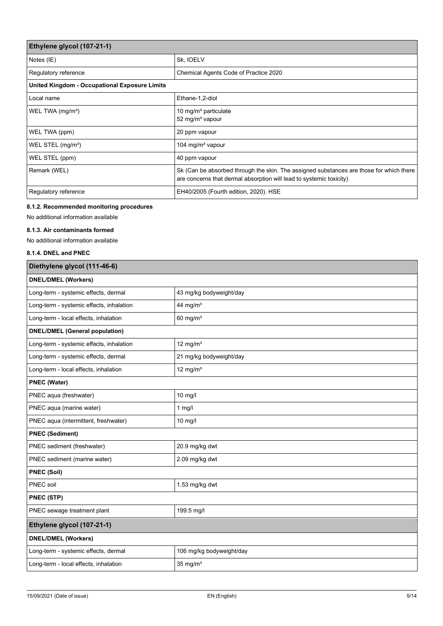| Ethylene glycol (107-21-1)                    |                                                                                                                                                                |
|-----------------------------------------------|----------------------------------------------------------------------------------------------------------------------------------------------------------------|
| Notes (IE)                                    | Sk, IOELV                                                                                                                                                      |
| Regulatory reference                          | Chemical Agents Code of Practice 2020                                                                                                                          |
| United Kingdom - Occupational Exposure Limits |                                                                                                                                                                |
| Local name                                    | Ethane-1,2-diol                                                                                                                                                |
| WEL TWA (mg/m <sup>3</sup> )                  | 10 mg/m <sup>3</sup> particulate<br>52 mg/m <sup>3</sup> vapour                                                                                                |
| WEL TWA (ppm)                                 | 20 ppm vapour                                                                                                                                                  |
| WEL STEL (mg/m <sup>3</sup> )                 | 104 mg/m <sup>3</sup> vapour                                                                                                                                   |
| WEL STEL (ppm)                                | 40 ppm vapour                                                                                                                                                  |
| Remark (WEL)                                  | Sk (Can be absorbed through the skin. The assigned substances are those for which there<br>are concerns that dermal absorption will lead to systemic toxicity) |
| Regulatory reference                          | EH40/2005 (Fourth edition, 2020). HSE                                                                                                                          |

# **8.1.2. Recommended monitoring procedures**

No additional information available

### **8.1.3. Air contaminants formed**

No additional information available

# **8.1.4. DNEL and PNEC**

| Diethylene glycol (111-46-6)             |                          |  |
|------------------------------------------|--------------------------|--|
| <b>DNEL/DMEL (Workers)</b>               |                          |  |
| Long-term - systemic effects, dermal     | 43 mg/kg bodyweight/day  |  |
| Long-term - systemic effects, inhalation | 44 mg/ $m3$              |  |
| Long-term - local effects, inhalation    | 60 mg/ $m3$              |  |
| <b>DNEL/DMEL (General population)</b>    |                          |  |
| Long-term - systemic effects, inhalation | $12$ mg/m <sup>3</sup>   |  |
| Long-term - systemic effects, dermal     | 21 mg/kg bodyweight/day  |  |
| Long-term - local effects, inhalation    | 12 mg/ $m3$              |  |
| <b>PNEC (Water)</b>                      |                          |  |
| PNEC aqua (freshwater)                   | 10 mg/l                  |  |
| PNEC aqua (marine water)                 | 1 $mg/l$                 |  |
| PNEC aqua (intermittent, freshwater)     | $10$ mg/l                |  |
| <b>PNEC (Sediment)</b>                   |                          |  |
| PNEC sediment (freshwater)               | 20.9 mg/kg dwt           |  |
| PNEC sediment (marine water)             | 2.09 mg/kg dwt           |  |
| <b>PNEC (Soil)</b>                       |                          |  |
| <b>PNEC</b> soil                         | 1.53 mg/kg dwt           |  |
| <b>PNEC (STP)</b>                        |                          |  |
| PNEC sewage treatment plant              | 199.5 mg/l               |  |
| Ethylene glycol (107-21-1)               |                          |  |
| <b>DNEL/DMEL (Workers)</b>               |                          |  |
| Long-term - systemic effects, dermal     | 106 mg/kg bodyweight/day |  |
| Long-term - local effects, inhalation    | $35$ mg/m <sup>3</sup>   |  |
|                                          |                          |  |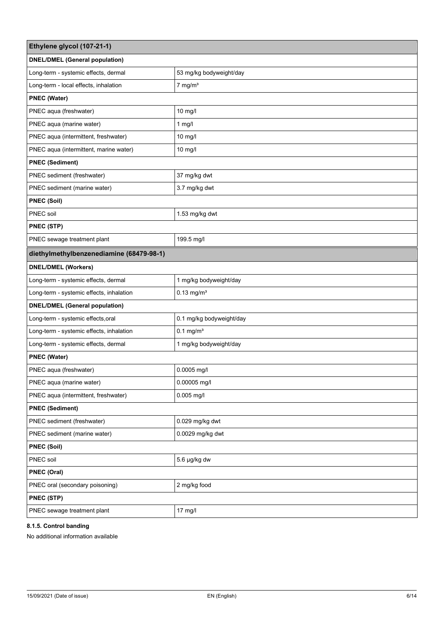| Ethylene glycol (107-21-1)               |                          |  |
|------------------------------------------|--------------------------|--|
| <b>DNEL/DMEL (General population)</b>    |                          |  |
| Long-term - systemic effects, dermal     | 53 mg/kg bodyweight/day  |  |
| Long-term - local effects, inhalation    | $7$ mg/m <sup>3</sup>    |  |
| <b>PNEC (Water)</b>                      |                          |  |
| PNEC aqua (freshwater)                   | 10 mg/l                  |  |
| PNEC aqua (marine water)                 | $1$ mg/l                 |  |
| PNEC aqua (intermittent, freshwater)     | 10 mg/l                  |  |
| PNEC aqua (intermittent, marine water)   | 10 mg/l                  |  |
| <b>PNEC (Sediment)</b>                   |                          |  |
| PNEC sediment (freshwater)               | 37 mg/kg dwt             |  |
| PNEC sediment (marine water)             | 3.7 mg/kg dwt            |  |
| <b>PNEC (Soil)</b>                       |                          |  |
| PNEC soil                                | 1.53 mg/kg dwt           |  |
| PNEC (STP)                               |                          |  |
| PNEC sewage treatment plant              | 199.5 mg/l               |  |
| diethylmethylbenzenediamine (68479-98-1) |                          |  |
| <b>DNEL/DMEL (Workers)</b>               |                          |  |
| Long-term - systemic effects, dermal     | 1 mg/kg bodyweight/day   |  |
| Long-term - systemic effects, inhalation | $0.13$ mg/m <sup>3</sup> |  |
| <b>DNEL/DMEL (General population)</b>    |                          |  |
| Long-term - systemic effects, oral       | 0.1 mg/kg bodyweight/day |  |
| Long-term - systemic effects, inhalation | $0.1$ mg/m <sup>3</sup>  |  |
| Long-term - systemic effects, dermal     | 1 mg/kg bodyweight/day   |  |
| <b>PNEC (Water)</b>                      |                          |  |
| PNEC aqua (freshwater)                   | $0.0005$ mg/l            |  |
| PNEC aqua (marine water)                 | 0.00005 mg/l             |  |
| PNEC aqua (intermittent, freshwater)     | $0.005$ mg/l             |  |
| <b>PNEC (Sediment)</b>                   |                          |  |
| PNEC sediment (freshwater)               | 0.029 mg/kg dwt          |  |
| PNEC sediment (marine water)             | 0.0029 mg/kg dwt         |  |
| <b>PNEC (Soil)</b>                       |                          |  |
| PNEC soil                                | 5.6 µg/kg dw             |  |
| PNEC (Oral)                              |                          |  |
| PNEC oral (secondary poisoning)          | 2 mg/kg food             |  |
| PNEC (STP)                               |                          |  |
| PNEC sewage treatment plant              | 17 mg/l                  |  |

# **8.1.5. Control banding**

No additional information available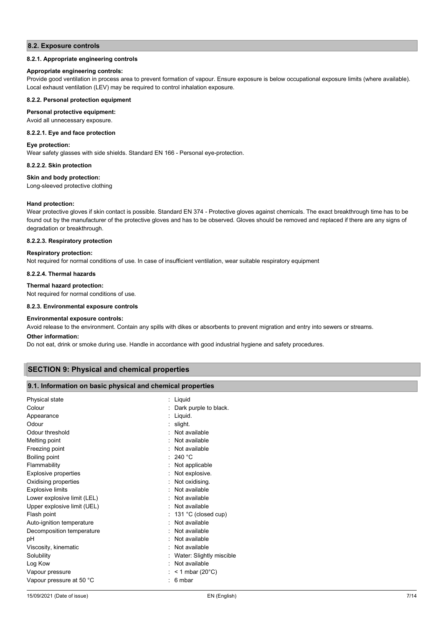### **8.2. Exposure controls**

### **8.2.1. Appropriate engineering controls**

### **Appropriate engineering controls:**

Provide good ventilation in process area to prevent formation of vapour. Ensure exposure is below occupational exposure limits (where available). Local exhaust ventilation (LEV) may be required to control inhalation exposure.

### **8.2.2. Personal protection equipment**

### **Personal protective equipment:**

Avoid all unnecessary exposure.

### **8.2.2.1. Eye and face protection**

### **Eye protection:**

Wear safety glasses with side shields. Standard EN 166 - Personal eye-protection.

### **8.2.2.2. Skin protection**

### **Skin and body protection:**

Long-sleeved protective clothing

### **Hand protection:**

Wear protective gloves if skin contact is possible. Standard EN 374 - Protective gloves against chemicals. The exact breakthrough time has to be found out by the manufacturer of the protective gloves and has to be observed. Gloves should be removed and replaced if there are any signs of degradation or breakthrough.

### **8.2.2.3. Respiratory protection**

### **Respiratory protection:**

Not required for normal conditions of use. In case of insufficient ventilation, wear suitable respiratory equipment

### **8.2.2.4. Thermal hazards**

### **Thermal hazard protection:**

Not required for normal conditions of use.

### **8.2.3. Environmental exposure controls**

### **Environmental exposure controls:**

Avoid release to the environment. Contain any spills with dikes or absorbents to prevent migration and entry into sewers or streams.

### **Other information:**

Do not eat, drink or smoke during use. Handle in accordance with good industrial hygiene and safety procedures.

### **SECTION 9: Physical and chemical properties**

### **9.1. Information on basic physical and chemical properties**

| Physical state              | Liquid                     |
|-----------------------------|----------------------------|
| Colour                      | Dark purple to black.      |
| Appearance                  | Liquid.                    |
| Odour                       | slight.                    |
| Odour threshold             | Not available              |
| Melting point               | Not available              |
| Freezing point              | Not available              |
| Boiling point               | : 240 °C                   |
| Flammability                | Not applicable             |
| Explosive properties        | Not explosive.             |
| Oxidising properties        | Not oxidising.             |
| <b>Explosive limits</b>     | Not available              |
| Lower explosive limit (LEL) | Not available              |
| Upper explosive limit (UEL) | Not available              |
| Flash point                 | 131 °C (closed cup)        |
| Auto-ignition temperature   | Not available              |
| Decomposition temperature   | Not available              |
| рH                          | Not available              |
| Viscosity, kinematic        | Not available              |
| Solubility                  | Water: Slightly miscible   |
| Log Kow                     | Not available              |
| Vapour pressure             | < 1 mbar (20 $^{\circ}$ C) |
| Vapour pressure at 50 °C    | 6 mbar                     |
|                             |                            |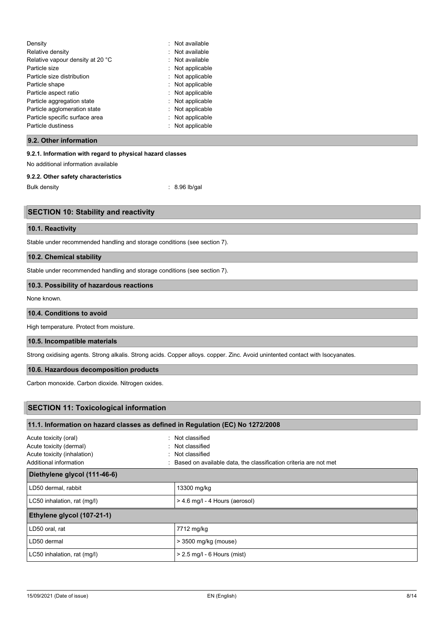| Density<br>٠.<br>Relative density<br>Relative vapour density at 20 °C<br>Particle size<br>Particle size distribution<br>Particle shape<br>Particle aspect ratio<br>Particle aggregation state<br>Particle agglomeration state<br>Particle specific surface area | Not available<br>Not available<br>Not available<br>Not applicable<br>Not applicable<br>Not applicable<br>Not applicable<br>Not applicable<br>Not applicable<br>Not applicable |
|-----------------------------------------------------------------------------------------------------------------------------------------------------------------------------------------------------------------------------------------------------------------|-------------------------------------------------------------------------------------------------------------------------------------------------------------------------------|
| Particle dustiness                                                                                                                                                                                                                                              | Not applicable                                                                                                                                                                |

### **9.2. Other information**

### **9.2.1. Information with regard to physical hazard classes**

No additional information available

### **9.2.2. Other safety characteristics**

Bulk density : 8.96 lb/gal

### **SECTION 10: Stability and reactivity**

### **10.1. Reactivity**

Stable under recommended handling and storage conditions (see section 7).

# **10.2. Chemical stability**

Stable under recommended handling and storage conditions (see section 7).

### **10.3. Possibility of hazardous reactions**

None known.

# **10.4. Conditions to avoid**

High temperature. Protect from moisture.

### **10.5. Incompatible materials**

Strong oxidising agents. Strong alkalis. Strong acids. Copper alloys. copper. Zinc. Avoid unintented contact with Isocyanates.

### **10.6. Hazardous decomposition products**

Carbon monoxide. Carbon dioxide. Nitrogen oxides.

# **SECTION 11: Toxicological information**

| 11.1. Information on hazard classes as defined in Regulation (EC) No 1272/2008                                                 |  |  |
|--------------------------------------------------------------------------------------------------------------------------------|--|--|
| : Not classified<br>: Not classified<br>: Not classified<br>: Based on available data, the classification criteria are not met |  |  |
|                                                                                                                                |  |  |
| 13300 mg/kg                                                                                                                    |  |  |
| > 4.6 mg/l - 4 Hours (aerosol)                                                                                                 |  |  |
|                                                                                                                                |  |  |
| 7712 mg/kg                                                                                                                     |  |  |
| > 3500 mg/kg (mouse)                                                                                                           |  |  |
| $> 2.5$ mg/l - 6 Hours (mist)                                                                                                  |  |  |
|                                                                                                                                |  |  |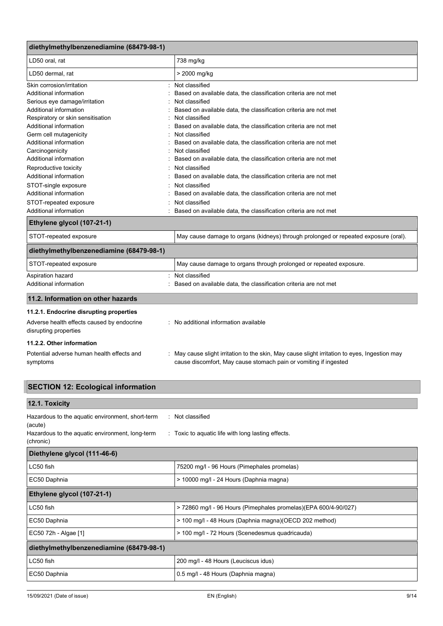| diethylmethylbenzenediamine (68479-98-1)                            |                                                                                                                                                                 |  |
|---------------------------------------------------------------------|-----------------------------------------------------------------------------------------------------------------------------------------------------------------|--|
| LD50 oral. rat                                                      | 738 mg/kg                                                                                                                                                       |  |
| LD50 dermal, rat                                                    | > 2000 mg/kg                                                                                                                                                    |  |
| Skin corrosion/irritation                                           | Not classified                                                                                                                                                  |  |
| Additional information                                              | Based on available data, the classification criteria are not met                                                                                                |  |
| Serious eye damage/irritation                                       | Not classified                                                                                                                                                  |  |
| Additional information                                              | Based on available data, the classification criteria are not met                                                                                                |  |
| Respiratory or skin sensitisation                                   | Not classified                                                                                                                                                  |  |
| Additional information                                              | Based on available data, the classification criteria are not met                                                                                                |  |
| Germ cell mutagenicity                                              | Not classified                                                                                                                                                  |  |
| Additional information                                              | Based on available data, the classification criteria are not met                                                                                                |  |
| Carcinogenicity                                                     | Not classified                                                                                                                                                  |  |
| Additional information                                              | Based on available data, the classification criteria are not met                                                                                                |  |
| Reproductive toxicity                                               | Not classified                                                                                                                                                  |  |
| Additional information                                              | Based on available data, the classification criteria are not met                                                                                                |  |
| STOT-single exposure                                                | Not classified                                                                                                                                                  |  |
| Additional information                                              | Based on available data, the classification criteria are not met                                                                                                |  |
| STOT-repeated exposure                                              | Not classified                                                                                                                                                  |  |
| Additional information                                              | Based on available data, the classification criteria are not met                                                                                                |  |
| Ethylene glycol (107-21-1)                                          |                                                                                                                                                                 |  |
| STOT-repeated exposure                                              | May cause damage to organs (kidneys) through prolonged or repeated exposure (oral).                                                                             |  |
| diethylmethylbenzenediamine (68479-98-1)                            |                                                                                                                                                                 |  |
| STOT-repeated exposure                                              | May cause damage to organs through prolonged or repeated exposure.                                                                                              |  |
| Aspiration hazard                                                   | Not classified                                                                                                                                                  |  |
| Additional information                                              | Based on available data, the classification criteria are not met                                                                                                |  |
| 11.2. Information on other hazards                                  |                                                                                                                                                                 |  |
| 11.2.1. Endocrine disrupting properties                             |                                                                                                                                                                 |  |
| Adverse health effects caused by endocrine<br>disrupting properties | : No additional information available                                                                                                                           |  |
| 11.2.2. Other information                                           |                                                                                                                                                                 |  |
| Potential adverse human health effects and<br>symptoms              | May cause slight irritation to the skin, May cause slight irritation to eyes, Ingestion may<br>cause discomfort, May cause stomach pain or vomiting if ingested |  |

| <b>SECTION 12: Ecological information</b>                                                                                                                                                             |                                                                 |  |
|-------------------------------------------------------------------------------------------------------------------------------------------------------------------------------------------------------|-----------------------------------------------------------------|--|
| 12.1. Toxicity                                                                                                                                                                                        |                                                                 |  |
| Hazardous to the aquatic environment, short-term<br>: Not classified<br>(acute)<br>Hazardous to the aquatic environment, long-term<br>: Toxic to aquatic life with long lasting effects.<br>(chronic) |                                                                 |  |
| Diethylene glycol (111-46-6)                                                                                                                                                                          |                                                                 |  |
| LC50 fish                                                                                                                                                                                             | 75200 mg/l - 96 Hours (Pimephales promelas)                     |  |
| EC50 Daphnia                                                                                                                                                                                          | > 10000 mg/l - 24 Hours (Daphnia magna)                         |  |
| Ethylene glycol (107-21-1)                                                                                                                                                                            |                                                                 |  |
| LC50 fish                                                                                                                                                                                             | > 72860 mg/l - 96 Hours (Pimephales promelas)(EPA 600/4-90/027) |  |
| EC50 Daphnia                                                                                                                                                                                          | > 100 mg/l - 48 Hours (Daphnia magna) (OECD 202 method)         |  |
| EC50 72h - Algae [1]                                                                                                                                                                                  | > 100 mg/l - 72 Hours (Scenedesmus quadricauda)                 |  |
| diethylmethylbenzenediamine (68479-98-1)                                                                                                                                                              |                                                                 |  |
| LC50 fish                                                                                                                                                                                             | 200 mg/l - 48 Hours (Leuciscus idus)                            |  |
| EC50 Daphnia                                                                                                                                                                                          | 0.5 mg/l - 48 Hours (Daphnia magna)                             |  |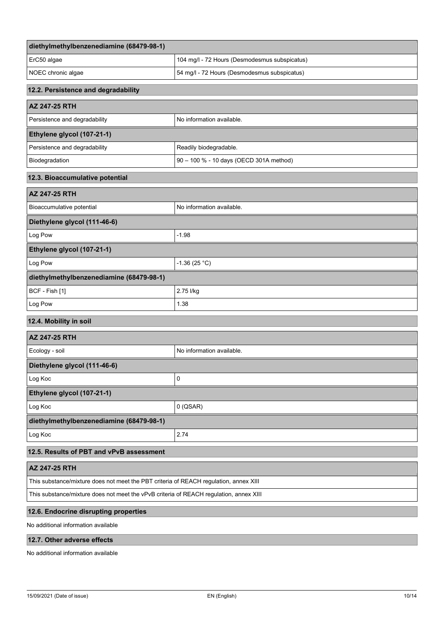| diethylmethylbenzenediamine (68479-98-1)                                              |                                               |
|---------------------------------------------------------------------------------------|-----------------------------------------------|
| ErC50 algae                                                                           | 104 mg/l - 72 Hours (Desmodesmus subspicatus) |
| NOEC chronic algae                                                                    | 54 mg/l - 72 Hours (Desmodesmus subspicatus)  |
| 12.2. Persistence and degradability                                                   |                                               |
| <b>AZ 247-25 RTH</b>                                                                  |                                               |
| Persistence and degradability                                                         | No information available.                     |
| Ethylene glycol (107-21-1)                                                            |                                               |
| Persistence and degradability                                                         | Readily biodegradable.                        |
| Biodegradation                                                                        | 90 - 100 % - 10 days (OECD 301A method)       |
| 12.3. Bioaccumulative potential                                                       |                                               |
| AZ 247-25 RTH                                                                         |                                               |
| Bioaccumulative potential                                                             | No information available.                     |
| Diethylene glycol (111-46-6)                                                          |                                               |
| Log Pow                                                                               | $-1.98$                                       |
| Ethylene glycol (107-21-1)                                                            |                                               |
| Log Pow                                                                               | $-1.36(25 °C)$                                |
| diethylmethylbenzenediamine (68479-98-1)                                              |                                               |
| BCF - Fish [1]                                                                        | 2.75 l/kg                                     |
| Log Pow                                                                               | 1.38                                          |
| 12.4. Mobility in soil                                                                |                                               |
| <b>AZ 247-25 RTH</b>                                                                  |                                               |
| Ecology - soil                                                                        | No information available.                     |
| Diethylene glycol (111-46-6)                                                          |                                               |
| Log Koc                                                                               | $\mathsf 0$                                   |
| Ethylene glycol (107-21-1)                                                            |                                               |
| Log Koc                                                                               | $0$ (QSAR)                                    |
| diethylmethylbenzenediamine (68479-98-1)                                              |                                               |
| Log Koc                                                                               | 2.74                                          |
| 12.5. Results of PBT and vPvB assessment                                              |                                               |
| AZ 247-25 RTH                                                                         |                                               |
| This substance/mixture does not meet the PBT criteria of REACH regulation, annex XIII |                                               |

This substance/mixture does not meet the vPvB criteria of REACH regulation, annex XIII

# **12.6. Endocrine disrupting properties**

No additional information available

# **12.7. Other adverse effects**

No additional information available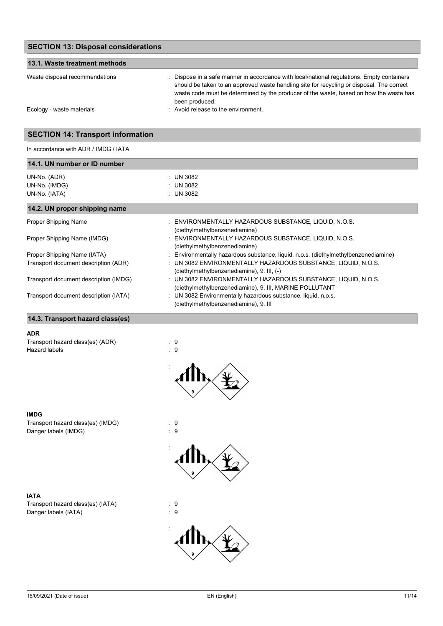| <b>SECTION 13: Disposal considerations</b> |                                                                                                                                                                                                                                                                                                     |
|--------------------------------------------|-----------------------------------------------------------------------------------------------------------------------------------------------------------------------------------------------------------------------------------------------------------------------------------------------------|
| 13.1. Waste treatment methods              |                                                                                                                                                                                                                                                                                                     |
| Waste disposal recommendations             | : Dispose in a safe manner in accordance with local/national regulations. Empty containers<br>should be taken to an approved waste handling site for recycling or disposal. The correct<br>waste code must be determined by the producer of the waste, based on how the waste has<br>been produced. |
| Ecology - waste materials                  | : Avoid release to the environment.                                                                                                                                                                                                                                                                 |

# **SECTION 14: Transport information**

In accordance with ADR / IMDG / IATA

| 14.1. UN number or ID number         |                                                                                                             |  |
|--------------------------------------|-------------------------------------------------------------------------------------------------------------|--|
| UN-No. (ADR)                         | : UN 3082                                                                                                   |  |
| UN-No. (IMDG)                        | : UN 3082                                                                                                   |  |
| UN-No. (IATA)                        | : UN 3082                                                                                                   |  |
| 14.2. UN proper shipping name        |                                                                                                             |  |
| Proper Shipping Name                 | : ENVIRONMENTALLY HAZARDOUS SUBSTANCE, LIQUID, N.O.S.<br>(diethylmethylbenzenediamine)                      |  |
| Proper Shipping Name (IMDG)          | : ENVIRONMENTALLY HAZARDOUS SUBSTANCE. LIQUID. N.O.S.<br>(diethylmethylbenzenediamine)                      |  |
| Proper Shipping Name (IATA)          | : Environmentally hazardous substance, liquid, n.o.s. (diethylmethylbenzenediamine)                         |  |
| Transport document description (ADR) | : UN 3082 ENVIRONMENTALLY HAZARDOUS SUBSTANCE, LIQUID, N.O.S.<br>(diethylmethylbenzenediamine), 9, III, (-) |  |

|  | : UN 3082 ENVIRONMENTALLY HAZARDOUS SUBSTANCE. LIQUID. N.O.S.                                                                                                                                                                                                                                                                                                                                                          |
|--|------------------------------------------------------------------------------------------------------------------------------------------------------------------------------------------------------------------------------------------------------------------------------------------------------------------------------------------------------------------------------------------------------------------------|
|  | (diethylmethylbenzenediamine), 9, III, MARINE POLLUTANT                                                                                                                                                                                                                                                                                                                                                                |
|  | $\mathbf{1} \mathbf{1} \mathbf{1} \mathbf{1} \mathbf{1} \mathbf{1} \mathbf{1} \mathbf{1} \mathbf{1} \mathbf{1} \mathbf{1} \mathbf{1} \mathbf{1} \mathbf{1} \mathbf{1} \mathbf{1} \mathbf{1} \mathbf{1} \mathbf{1} \mathbf{1} \mathbf{1} \mathbf{1} \mathbf{1} \mathbf{1} \mathbf{1} \mathbf{1} \mathbf{1} \mathbf{1} \mathbf{1} \mathbf{1} \mathbf{1} \mathbf{1} \mathbf{1} \mathbf{1} \mathbf{1} \mathbf{1} \mathbf{$ |

|  | : UN 3082 Environmentally hazardous substance, liquid, n.o.s |  |
|--|--------------------------------------------------------------|--|
|  | (diethylmethylbenzenediamine), 9, III                        |  |

# **14.3. Transport hazard class(es)**

Transport document description (IMDG)

Transport document description (IATA)

### **ADR**

Transport hazard class(es) (ADR) : 9<br>Hazard labels : 9 Hazard labels



### **IMDG**

Transport hazard class(es) (IMDG) : 9<br>Danger labels (IMDG) : 9 Danger labels (IMDG)

# **IATA**

Transport hazard class(es) (IATA) : 9<br>Danger labels (IATA) : 9 Danger labels (IATA)

# :

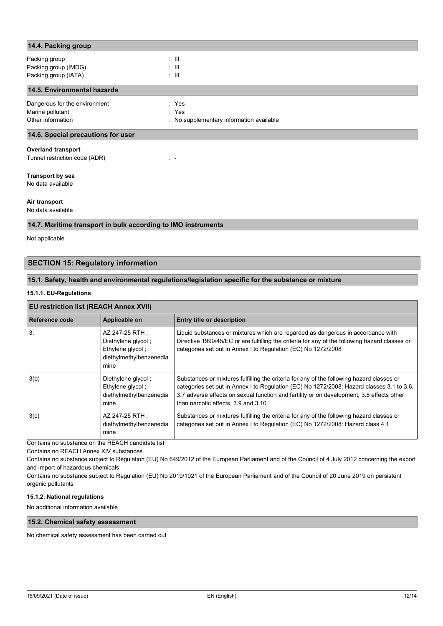| 14.4. Packing group                |                                          |
|------------------------------------|------------------------------------------|
| Packing group                      | $\pm$ 111                                |
| Packing group (IMDG)               | $\pm$ 111                                |
| Packing group (IATA)               | $\pm$ 111                                |
| 14.5. Environmental hazards        |                                          |
| Dangerous for the environment      | : Yes                                    |
| Marine pollutant                   | : Yes                                    |
| Other information                  | : No supplementary information available |
| 14.6. Special precautions for user |                                          |
| <b>Overland transport</b>          |                                          |
| Tunnel restriction code (ADR)      | $\mathbb{Z}^n \to \mathbb{R}^n$          |
| <b>Transport by sea</b>            |                                          |
| No data available                  |                                          |
| Air transport                      |                                          |
| No data available                  |                                          |

# **14.7. Maritime transport in bulk according to IMO instruments**

Not applicable

# **SECTION 15: Regulatory information**

### **15.1. Safety, health and environmental regulations/legislation specific for the substance or mixture**

### **15.1.1. EU-Regulations**

# **EU restriction list (REACH Annex XVII)**

| Reference code | Applicable on                                                                                | Entry title or description                                                                                                                                                                                                                                                                                                 |  |  |
|----------------|----------------------------------------------------------------------------------------------|----------------------------------------------------------------------------------------------------------------------------------------------------------------------------------------------------------------------------------------------------------------------------------------------------------------------------|--|--|
| 3.             | AZ 247-25 RTH :<br>Diethylene glycol;<br>Ethylene glycol;<br>diethylmethylbenzenedia<br>mine | Liquid substances or mixtures which are regarded as dangerous in accordance with<br>Directive 1999/45/EC or are fulfilling the criteria for any of the following hazard classes or<br>categories set out in Annex I to Regulation (EC) No 1272/2008                                                                        |  |  |
| 3(b)           | Diethylene glycol;<br>Ethylene glycol;<br>diethylmethylbenzenedia<br>mine                    | Substances or mixtures fulfilling the criteria for any of the following hazard classes or<br>categories set out in Annex I to Regulation (EC) No 1272/2008: Hazard classes 3.1 to 3.6,<br>3.7 adverse effects on sexual function and fertility or on development, 3.8 effects other<br>than narcotic effects, 3.9 and 3.10 |  |  |
| 3(c)           | AZ 247-25 RTH :<br>diethylmethylbenzenedia<br>mine                                           | Substances or mixtures fulfilling the criteria for any of the following hazard classes or<br>categories set out in Annex I to Regulation (EC) No 1272/2008: Hazard class 4.1                                                                                                                                               |  |  |

Contains no substance on the REACH candidate list

Contains no REACH Annex XIV substances

Contains no substance subject to Regulation (EU) No 649/2012 of the European Parliament and of the Council of 4 July 2012 concerning the export and import of hazardous chemicals.

Contains no substance subject to Regulation (EU) No 2019/1021 of the European Parliament and of the Council of 20 June 2019 on persistent organic pollutants

### **15.1.2. National regulations**

No additional information available

# **15.2. Chemical safety assessment**

No chemical safety assessment has been carried out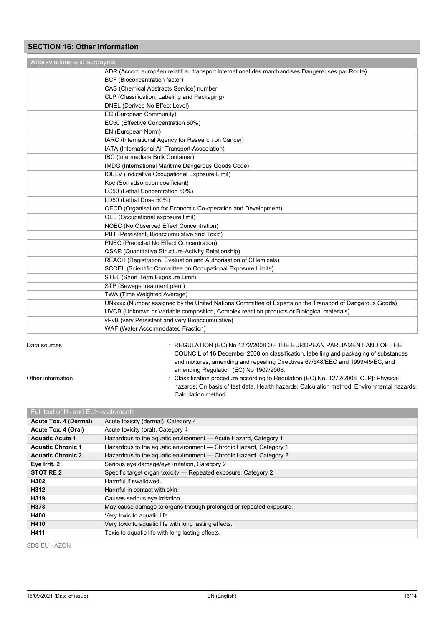# **SECTION 16: Other information**

| Abbreviations and acronyms                                      |                                                                                                         |  |
|-----------------------------------------------------------------|---------------------------------------------------------------------------------------------------------|--|
|                                                                 | ADR (Accord européen relatif au transport international des marchandises Dangereuses par Route)         |  |
| BCF (Bioconcentration factor)                                   |                                                                                                         |  |
| CAS (Chemical Abstracts Service) number                         |                                                                                                         |  |
| CLP (Classification, Labeling and Packaging)                    |                                                                                                         |  |
| DNEL (Derived No Effect Level)                                  |                                                                                                         |  |
| EC (European Community)                                         |                                                                                                         |  |
| EC50 (Effective Concentration 50%)                              |                                                                                                         |  |
| EN (European Norm)                                              |                                                                                                         |  |
| IARC (International Agency for Research on Cancer)              |                                                                                                         |  |
| IATA (International Air Transport Association)                  |                                                                                                         |  |
| IBC (Intermediate Bulk Container)                               |                                                                                                         |  |
| IMDG (International Maritime Dangerous Goods Code)              |                                                                                                         |  |
| <b>IOELV</b> (Indicative Occupational Exposure Limit)           |                                                                                                         |  |
| Koc (Soil adsorption coefficient)                               |                                                                                                         |  |
| LC50 (Lethal Concentration 50%)                                 |                                                                                                         |  |
| LD50 (Lethal Dose 50%)                                          |                                                                                                         |  |
| OECD (Organisation for Economic Co-operation and Development)   |                                                                                                         |  |
| OEL (Occupational exposure limit)                               |                                                                                                         |  |
| NOEC (No Observed Effect Concentration)                         |                                                                                                         |  |
| PBT (Persistent, Bioaccumulative and Toxic)                     |                                                                                                         |  |
| PNEC (Predicted No Effect Concentration)                        |                                                                                                         |  |
| QSAR (Quantitative Structure-Activity Relationship)             |                                                                                                         |  |
| REACH (Registration, Evaluation and Authorisation of CHemicals) |                                                                                                         |  |
| SCOEL (Scientific Committee on Occupational Exposure Limits)    |                                                                                                         |  |
| STEL (Short Term Exposure Limit)                                |                                                                                                         |  |
| STP (Sewage treatment plant)                                    |                                                                                                         |  |
| TWA (Time Weighted Average)                                     |                                                                                                         |  |
|                                                                 | UNxxxx (Number assigned by the United Nations Committee of Experts on the Transport of Dangerous Goods) |  |
|                                                                 | UVCB (Unknown or Variable composition, Complex reaction products or Biological materials)               |  |
| vPvB (very Persistent and very Bioaccumulative)                 |                                                                                                         |  |
| WAF (Water Accommodated Fraction)                               |                                                                                                         |  |

Data sources : REGULATION (EC) No 1272/2008 OF THE EUROPEAN PARLIAMENT AND OF THE COUNCIL of 16 December 2008 on classification, labelling and packaging of substances and mixtures, amending and repealing Directives 67/548/EEC and 1999/45/EC, and amending Regulation (EC) No 1907/2006.

- 
- Other information **contain the Classification procedure according to Regulation (EC) No. 1272/2008 [CLP]: Physical** hazards: On basis of test data. Health hazards: Calculation method. Environmental hazards: Calculation method.

| Full text of H- and EUH-statements |                                                                    |  |  |  |
|------------------------------------|--------------------------------------------------------------------|--|--|--|
| Acute Tox. 4 (Dermal)              | Acute toxicity (dermal), Category 4                                |  |  |  |
| Acute Tox. 4 (Oral)                | Acute toxicity (oral), Category 4                                  |  |  |  |
| <b>Aquatic Acute 1</b>             | Hazardous to the aquatic environment - Acute Hazard, Category 1    |  |  |  |
| <b>Aquatic Chronic 1</b>           | Hazardous to the aquatic environment - Chronic Hazard, Category 1  |  |  |  |
| <b>Aquatic Chronic 2</b>           | Hazardous to the aquatic environment - Chronic Hazard, Category 2  |  |  |  |
| Eye Irrit. 2                       | Serious eye damage/eye irritation, Category 2                      |  |  |  |
| STOT RE 2                          | Specific target organ toxicity – Repeated exposure, Category 2     |  |  |  |
| H302                               | Harmful if swallowed.                                              |  |  |  |
| H312                               | Harmful in contact with skin.                                      |  |  |  |
| H319                               | Causes serious eye irritation.                                     |  |  |  |
| H373                               | May cause damage to organs through prolonged or repeated exposure. |  |  |  |
| H400                               | Very toxic to aquatic life.                                        |  |  |  |
| H410                               | Very toxic to aquatic life with long lasting effects.              |  |  |  |
| H411                               | Toxic to aquatic life with long lasting effects.                   |  |  |  |

SDS EU - AZON